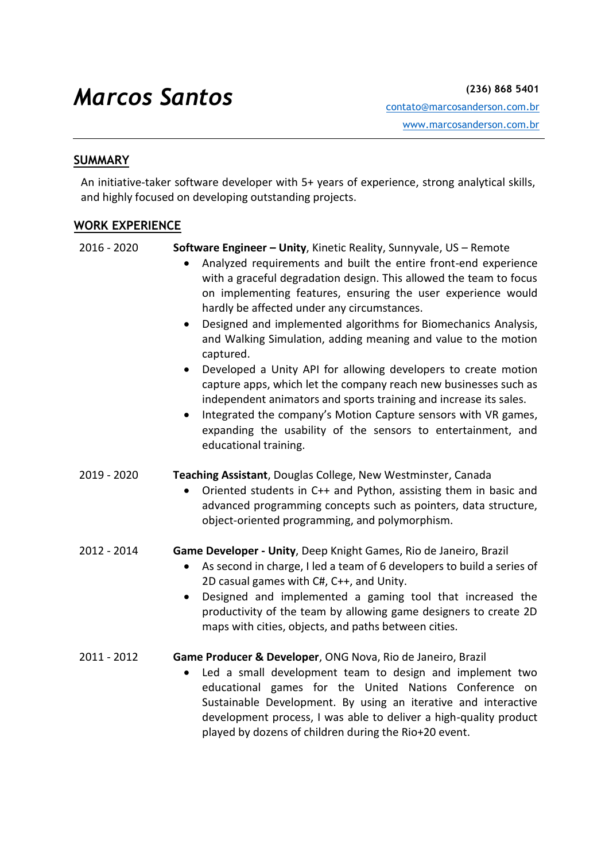# *Marcos Santos* **(236) 868 5401**

### **SUMMARY**

An initiative-taker software developer with 5+ years of experience, strong analytical skills, and highly focused on developing outstanding projects.

#### **WORK EXPERIENCE**

2016 - 2020 **Software Engineer – Unity**, Kinetic Reality, Sunnyvale, US – Remote

- Analyzed requirements and built the entire front-end experience with a graceful degradation design. This allowed the team to focus on implementing features, ensuring the user experience would hardly be affected under any circumstances.
- Designed and implemented algorithms for Biomechanics Analysis, and Walking Simulation, adding meaning and value to the motion captured.
- Developed a Unity API for allowing developers to create motion capture apps, which let the company reach new businesses such as independent animators and sports training and increase its sales.
- Integrated the company's Motion Capture sensors with VR games, expanding the usability of the sensors to entertainment, and educational training.
- 2019 2020 **Teaching Assistant**, Douglas College, New Westminster, Canada
	- Oriented students in C++ and Python, assisting them in basic and advanced programming concepts such as pointers, data structure, object-oriented programming, and polymorphism.
- 2012 2014 **Game Developer - Unity**, Deep Knight Games, Rio de Janeiro, Brazil
	- As second in charge, I led a team of 6 developers to build a series of 2D casual games with C#, C++, and Unity.
	- Designed and implemented a gaming tool that increased the productivity of the team by allowing game designers to create 2D maps with cities, objects, and paths between cities.
- 2011 2012 **Game Producer & Developer**, ONG Nova, Rio de Janeiro, Brazil
	- Led a small development team to design and implement two educational games for the United Nations Conference on Sustainable Development. By using an iterative and interactive development process, I was able to deliver a high-quality product played by dozens of children during the Rio+20 event.